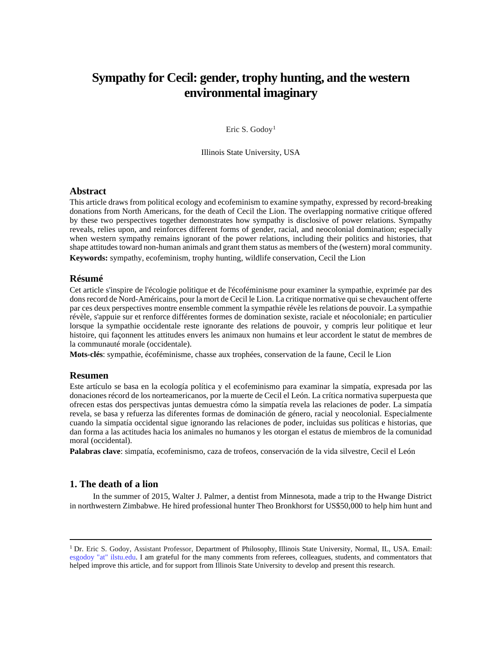# **Sympathy for Cecil: gender, trophy hunting, and the western environmental imaginary**

Eric S. Godoy<sup>[1](#page-0-0)</sup>

Illinois State University, USA

#### **Abstract**

This article draws from political ecology and ecofeminism to examine sympathy, expressed by record-breaking donations from North Americans, for the death of Cecil the Lion. The overlapping normative critique offered by these two perspectives together demonstrates how sympathy is disclosive of power relations. Sympathy reveals, relies upon, and reinforces different forms of gender, racial, and neocolonial domination; especially when western sympathy remains ignorant of the power relations, including their politics and histories, that shape attitudes toward non-human animals and grant them status as members of the (western) moral community. **Keywords:** sympathy, ecofeminism, trophy hunting, wildlife conservation, Cecil the Lion

## **Résumé**

Cet article s'inspire de l'écologie politique et de l'écoféminisme pour examiner la sympathie, exprimée par des dons record de Nord-Américains, pour la mort de Cecil le Lion. La critique normative qui se chevauchent offerte par ces deux perspectives montre ensemble comment la sympathie révèle les relations de pouvoir. La sympathie révèle, s'appuie sur et renforce différentes formes de domination sexiste, raciale et néocoloniale; en particulier lorsque la sympathie occidentale reste ignorante des relations de pouvoir, y compris leur politique et leur histoire, qui façonnent les attitudes envers les animaux non humains et leur accordent le statut de membres de la communauté morale (occidentale).

**Mots-clés**: sympathie, écoféminisme, chasse aux trophées, conservation de la faune, Cecil le Lion

#### **Resumen**

Este artículo se basa en la ecología política y el ecofeminismo para examinar la simpatía, expresada por las donaciones récord de los norteamericanos, por la muerte de Cecil el León. La crítica normativa superpuesta que ofrecen estas dos perspectivas juntas demuestra cómo la simpatía revela las relaciones de poder. La simpatía revela, se basa y refuerza las diferentes formas de dominación de género, racial y neocolonial. Especialmente cuando la simpatía occidental sigue ignorando las relaciones de poder, incluidas sus políticas e historias, que dan forma a las actitudes hacia los animales no humanos y les otorgan el estatus de miembros de la comunidad moral (occidental).

**Palabras clave**: simpatía, ecofeminismo, caza de trofeos, conservación de la vida silvestre, Cecil el León

#### **1. The death of a lion**

In the summer of 2015, Walter J. Palmer, a dentist from Minnesota, made a trip to the Hwange District in northwestern Zimbabwe. He hired professional hunter Theo Bronkhorst for US\$50,000 to help him hunt and

<span id="page-0-0"></span><sup>1</sup> Dr. Eric S. Godoy, Assistant Professor, Department of Philosophy, Illinois State University, Normal, IL, USA. Email: esgodoy "at" ilstu.edu. I am grateful for the many comments from referees, colleagues, students, and commentators that helped improve this article, and for support from Illinois State University to develop and present this research.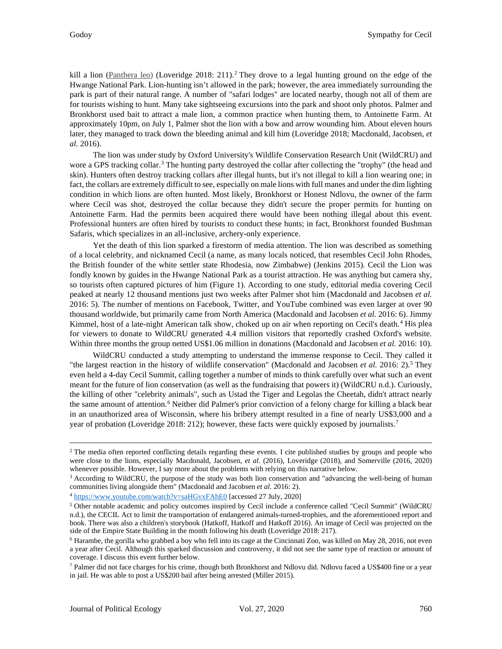kill a lion (Panthera leo) (Loveridge [2](#page-1-0)018: 211).<sup>2</sup> They drove to a legal hunting ground on the edge of the Hwange National Park. Lion-hunting isn't allowed in the park; however, the area immediately surrounding the park is part of their natural range. A number of "safari lodges" are located nearby, though not all of them are for tourists wishing to hunt. Many take sightseeing excursions into the park and shoot only photos. Palmer and Bronkhorst used bait to attract a male lion, a common practice when hunting them, to Antoinette Farm. At approximately 10pm, on July 1, Palmer shot the lion with a bow and arrow wounding him. About eleven hours later, they managed to track down the bleeding animal and kill him (Loveridge 2018; Macdonald, Jacobsen, *et al.* 2016).

The lion was under study by Oxford University's Wildlife Conservation Research Unit (WildCRU) and wore a GPS tracking collar.<sup>[3](#page-1-1)</sup> The hunting party destroyed the collar after collecting the "trophy" (the head and skin). Hunters often destroy tracking collars after illegal hunts, but it's not illegal to kill a lion wearing one; in fact, the collars are extremely difficult to see, especially on male lions with full manes and under the dim lighting condition in which lions are often hunted. Most likely, Bronkhorst or Honest Ndlovu, the owner of the farm where Cecil was shot, destroyed the collar because they didn't secure the proper permits for hunting on Antoinette Farm. Had the permits been acquired there would have been nothing illegal about this event. Professional hunters are often hired by tourists to conduct these hunts; in fact, Bronkhorst founded Bushman Safaris, which specializes in an all-inclusive, archery-only experience.

Yet the death of this lion sparked a firestorm of media attention. The lion was described as something of a local celebrity, and nicknamed Cecil (a name, as many locals noticed, that resembles Cecil John Rhodes, the British founder of the white settler state Rhodesia, now Zimbabwe) (Jenkins 2015). Cecil the Lion was fondly known by guides in the Hwange National Park as a tourist attraction. He was anything but camera shy, so tourists often captured pictures of him (Figure 1). According to one study, editorial media covering Cecil peaked at nearly 12 thousand mentions just two weeks after Palmer shot him (Macdonald and Jacobsen *et al.* 2016: 5). The number of mentions on Facebook, Twitter, and YouTube combined was even larger at over 90 thousand worldwide, but primarily came from North America (Macdonald and Jacobsen *et al.* 2016: 6). Jimmy Kimmel, host of a late-night American talk show, choked up on air when reporting on Cecil's death.<sup>[4](#page-1-2)</sup> His plea for viewers to donate to WildCRU generated 4.4 million visitors that reportedly crashed Oxford's website. Within three months the group netted US\$1.06 million in donations (Macdonald and Jacobsen *et al.* 2016: 10).

WildCRU conducted a study attempting to understand the immense response to Cecil. They called it "the largest reaction in the history of wildlife conservation" (Macdonald and Jacobsen *et al.* 2016: 2). [5](#page-1-3) They even held a 4-day Cecil Summit, calling together a number of minds to think carefully over what such an event meant for the future of lion conservation (as well as the fundraising that powers it) (WildCRU n.d.). Curiously, the killing of other "celebrity animals", such as Ustad the Tiger and Legolas the Cheetah, didn't attract nearly the same amount of attention.<sup>[6](#page-1-4)</sup> Neither did Palmer's prior conviction of a felony charge for killing a black bear in an unauthorized area of Wisconsin, where his bribery attempt resulted in a fine of nearly US\$3,000 and a year of probation (Loveridge 2018: 212); however, these facts were quickly exposed by journalists.<sup>[7](#page-1-5)</sup>

<span id="page-1-0"></span><sup>&</sup>lt;sup>2</sup> The media often reported conflicting details regarding these events. I cite published studies by groups and people who were close to the lions, especially Macdonald, Jacobsen, *et al*. (2016), Loveridge (2018), and Somerville (2016, 2020) whenever possible. However, I say more about the problems with relying on this narrative below.

<span id="page-1-1"></span><sup>&</sup>lt;sup>3</sup> According to WildCRU, the purpose of the study was both lion conservation and "advancing the well-being of human communities living alongside them" (Macdonald and Jacobsen *et al*. 2016: 2).

<span id="page-1-2"></span><sup>4</sup> <https://www.youtube.com/watch?v=saHGvxFAhE0> [accessed 27 July, 2020]

<span id="page-1-3"></span><sup>5</sup> Other notable academic and policy outcomes inspired by Cecil include a conference called "Cecil Summit" (WildCRU n.d.), the CECIL Act to limit the transportation of endangered animals-turned-trophies, and the aforementioned report and book. There was also a children's storybook (Hatkoff, Hatkoff and Hatkoff 2016). An image of Cecil was projected on the side of the Empire State Building in the month following his death (Loveridge 2018: 217).

<span id="page-1-4"></span><sup>&</sup>lt;sup>6</sup> Harambe, the gorilla who grabbed a boy who fell into its cage at the Cincinnati Zoo, was killed on May 28, 2016, not even a year after Cecil. Although this sparked discussion and controversy, it did not see the same type of reaction or amount of coverage. I discuss this event further below.

<span id="page-1-5"></span> $7$  Palmer did not face charges for his crime, though both Bronkhorst and Ndlovu did. Ndlovu faced a US\$400 fine or a year in jail. He was able to post a US\$200 bail after being arrested (Miller 2015).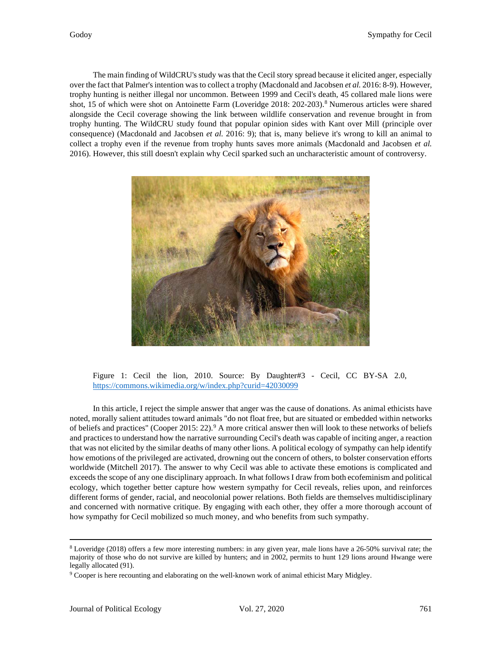The main finding of WildCRU's study was that the Cecil story spread because it elicited anger, especially over the fact that Palmer's intention was to collect a trophy (Macdonald and Jacobsen *et al.* 2016: 8-9). However, trophy hunting is neither illegal nor uncommon. Between 1999 and Cecil's death, 45 collared male lions were shot, 15 of which were shot on Antoinette Farm (Loveridge 201[8](#page-2-0): 202-203).<sup>8</sup> Numerous articles were shared alongside the Cecil coverage showing the link between wildlife conservation and revenue brought in from trophy hunting. The WildCRU study found that popular opinion sides with Kant over Mill (principle over consequence) (Macdonald and Jacobsen *et al.* 2016: 9); that is, many believe it's wrong to kill an animal to collect a trophy even if the revenue from trophy hunts saves more animals (Macdonald and Jacobsen *et al.* 2016). However, this still doesn't explain why Cecil sparked such an uncharacteristic amount of controversy.



Figure 1: Cecil the lion, 2010. Source: By Daughter#3 - Cecil, CC BY-SA 2.0, <https://commons.wikimedia.org/w/index.php?curid=42030099>

In this article, I reject the simple answer that anger was the cause of donations. As animal ethicists have noted, morally salient attitudes toward animals "do not float free, but are situated or embedded within networks of beliefs and practices" (Cooper 2015: 22).<sup>9</sup> A more critical answer then will look to these networks of beliefs and practices to understand how the narrative surrounding Cecil's death was capable of inciting anger, a reaction that was not elicited by the similar deaths of many other lions. A political ecology of sympathy can help identify how emotions of the privileged are activated, drowning out the concern of others, to bolster conservation efforts worldwide (Mitchell 2017). The answer to why Cecil was able to activate these emotions is complicated and exceeds the scope of any one disciplinary approach. In what follows I draw from both ecofeminism and political ecology, which together better capture how western sympathy for Cecil reveals, relies upon, and reinforces different forms of gender, racial, and neocolonial power relations. Both fields are themselves multidisciplinary and concerned with normative critique. By engaging with each other, they offer a more thorough account of how sympathy for Cecil mobilized so much money, and who benefits from such sympathy.

<span id="page-2-0"></span><sup>8</sup> Loveridge (2018) offers a few more interesting numbers: in any given year, male lions have a 26-50% survival rate; the majority of those who do not survive are killed by hunters; and in 2002, permits to hunt 129 lions around Hwange were legally allocated (91).

<span id="page-2-1"></span><sup>9</sup> Cooper is here recounting and elaborating on the well-known work of animal ethicist Mary Midgley.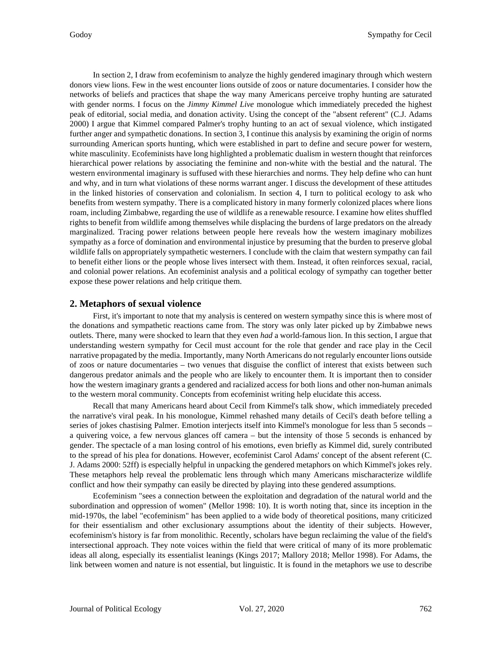In section 2, I draw from ecofeminism to analyze the highly gendered imaginary through which western donors view lions. Few in the west encounter lions outside of zoos or nature documentaries. I consider how the networks of beliefs and practices that shape the way many Americans perceive trophy hunting are saturated with gender norms. I focus on the *Jimmy Kimmel Live* monologue which immediately preceded the highest peak of editorial, social media, and donation activity. Using the concept of the "absent referent" (C.J. Adams 2000) I argue that Kimmel compared Palmer's trophy hunting to an act of sexual violence, which instigated further anger and sympathetic donations. In section 3, I continue this analysis by examining the origin of norms surrounding American sports hunting, which were established in part to define and secure power for western, white masculinity. Ecofeminists have long highlighted a problematic dualism in western thought that reinforces hierarchical power relations by associating the feminine and non-white with the bestial and the natural. The western environmental imaginary is suffused with these hierarchies and norms. They help define who can hunt and why, and in turn what violations of these norms warrant anger. I discuss the development of these attitudes in the linked histories of conservation and colonialism. In section 4, I turn to political ecology to ask who benefits from western sympathy. There is a complicated history in many formerly colonized places where lions roam, including Zimbabwe, regarding the use of wildlife as a renewable resource. I examine how elites shuffled rights to benefit from wildlife among themselves while displacing the burdens of large predators on the already marginalized. Tracing power relations between people here reveals how the western imaginary mobilizes sympathy as a force of domination and environmental injustice by presuming that the burden to preserve global wildlife falls on appropriately sympathetic westerners. I conclude with the claim that western sympathy can fail to benefit either lions or the people whose lives intersect with them. Instead, it often reinforces sexual, racial, and colonial power relations. An ecofeminist analysis and a political ecology of sympathy can together better expose these power relations and help critique them.

### **2. Metaphors of sexual violence**

First, it's important to note that my analysis is centered on western sympathy since this is where most of the donations and sympathetic reactions came from. The story was only later picked up by Zimbabwe news outlets. There, many were shocked to learn that they even *had* a world-famous lion. In this section, I argue that understanding western sympathy for Cecil must account for the role that gender and race play in the Cecil narrative propagated by the media. Importantly, many North Americans do not regularly encounter lions outside of zoos or nature documentaries – two venues that disguise the conflict of interest that exists between such dangerous predator animals and the people who are likely to encounter them. It is important then to consider how the western imaginary grants a gendered and racialized access for both lions and other non-human animals to the western moral community. Concepts from ecofeminist writing help elucidate this access.

Recall that many Americans heard about Cecil from Kimmel's talk show, which immediately preceded the narrative's viral peak. In his monologue, Kimmel rehashed many details of Cecil's death before telling a series of jokes chastising Palmer. Emotion interjects itself into Kimmel's monologue for less than 5 seconds – a quivering voice, a few nervous glances off camera – but the intensity of those 5 seconds is enhanced by gender. The spectacle of a man losing control of his emotions, even briefly as Kimmel did, surely contributed to the spread of his plea for donations. However, ecofeminist Carol Adams' concept of the absent referent (C. J. Adams 2000: 52ff) is especially helpful in unpacking the gendered metaphors on which Kimmel's jokes rely. These metaphors help reveal the problematic lens through which many Americans mischaracterize wildlife conflict and how their sympathy can easily be directed by playing into these gendered assumptions.

Ecofeminism "sees a connection between the exploitation and degradation of the natural world and the subordination and oppression of women" (Mellor 1998: 10). It is worth noting that, since its inception in the mid-1970s, the label "ecofeminism" has been applied to a wide body of theoretical positions, many criticized for their essentialism and other exclusionary assumptions about the identity of their subjects. However, ecofeminism's history is far from monolithic. Recently, scholars have begun reclaiming the value of the field's intersectional approach. They note voices within the field that were critical of many of its more problematic ideas all along, especially its essentialist leanings (Kings 2017; Mallory 2018; Mellor 1998). For Adams, the link between women and nature is not essential, but linguistic. It is found in the metaphors we use to describe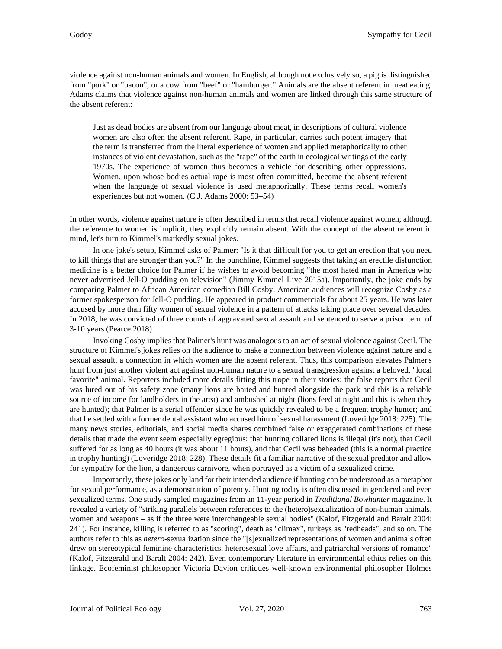violence against non-human animals and women. In English, although not exclusively so, a pig is distinguished from "pork" or "bacon", or a cow from "beef" or "hamburger." Animals are the absent referent in meat eating. Adams claims that violence against non-human animals and women are linked through this same structure of the absent referent:

Just as dead bodies are absent from our language about meat, in descriptions of cultural violence women are also often the absent referent. Rape, in particular, carries such potent imagery that the term is transferred from the literal experience of women and applied metaphorically to other instances of violent devastation, such as the "rape" of the earth in ecological writings of the early 1970s. The experience of women thus becomes a vehicle for describing other oppressions. Women, upon whose bodies actual rape is most often committed, become the absent referent when the language of sexual violence is used metaphorically. These terms recall women's experiences but not women. (C.J. Adams 2000: 53–54)

In other words, violence against nature is often described in terms that recall violence against women; although the reference to women is implicit, they explicitly remain absent. With the concept of the absent referent in mind, let's turn to Kimmel's markedly sexual jokes.

In one joke's setup, Kimmel asks of Palmer: "Is it that difficult for you to get an erection that you need to kill things that are stronger than you?" In the punchline, Kimmel suggests that taking an erectile disfunction medicine is a better choice for Palmer if he wishes to avoid becoming "the most hated man in America who never advertised Jell-O pudding on television" (Jimmy Kimmel Live 2015a). Importantly, the joke ends by comparing Palmer to African American comedian Bill Cosby. American audiences will recognize Cosby as a former spokesperson for Jell-O pudding. He appeared in product commercials for about 25 years. He was later accused by more than fifty women of sexual violence in a pattern of attacks taking place over several decades. In 2018, he was convicted of three counts of aggravated sexual assault and sentenced to serve a prison term of 3-10 years (Pearce 2018).

Invoking Cosby implies that Palmer's hunt was analogous to an act of sexual violence against Cecil. The structure of Kimmel's jokes relies on the audience to make a connection between violence against nature and a sexual assault, a connection in which women are the absent referent. Thus, this comparison elevates Palmer's hunt from just another violent act against non-human nature to a sexual transgression against a beloved, "local favorite" animal. Reporters included more details fitting this trope in their stories: the false reports that Cecil was lured out of his safety zone (many lions are baited and hunted alongside the park and this is a reliable source of income for landholders in the area) and ambushed at night (lions feed at night and this is when they are hunted); that Palmer is a serial offender since he was quickly revealed to be a frequent trophy hunter; and that he settled with a former dental assistant who accused him of sexual harassment (Loveridge 2018: 225). The many news stories, editorials, and social media shares combined false or exaggerated combinations of these details that made the event seem especially egregious: that hunting collared lions is illegal (it's not), that Cecil suffered for as long as 40 hours (it was about 11 hours), and that Cecil was beheaded (this is a normal practice in trophy hunting) (Loveridge 2018: 228). These details fit a familiar narrative of the sexual predator and allow for sympathy for the lion, a dangerous carnivore, when portrayed as a victim of a sexualized crime.

Importantly, these jokes only land for their intended audience if hunting can be understood as a metaphor for sexual performance, as a demonstration of potency. Hunting today is often discussed in gendered and even sexualized terms. One study sampled magazines from an 11-year period in *Traditional Bowhunter* magazine. It revealed a variety of "striking parallels between references to the (hetero)sexualization of non-human animals, women and weapons – as if the three were interchangeable sexual bodies" (Kalof, Fitzgerald and Baralt 2004: 241). For instance, killing is referred to as "scoring", death as "climax", turkeys as "redheads", and so on. The authors refer to this as *hetero*-sexualization since the "[s]exualized representations of women and animals often drew on stereotypical feminine characteristics, heterosexual love affairs, and patriarchal versions of romance" (Kalof, Fitzgerald and Baralt 2004: 242). Even contemporary literature in environmental ethics relies on this linkage. Ecofeminist philosopher Victoria Davion critiques well-known environmental philosopher Holmes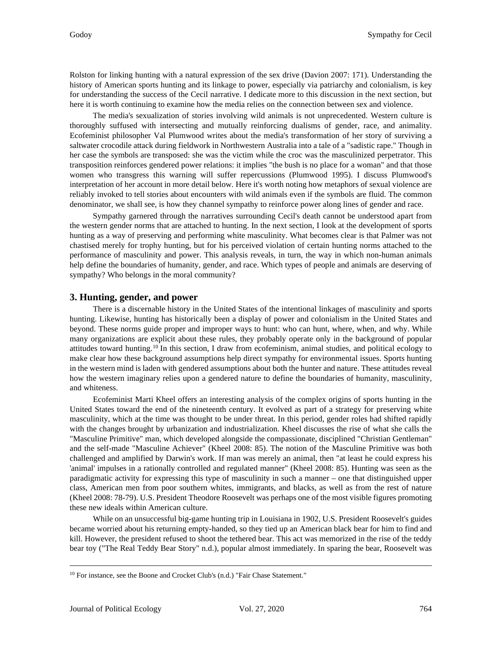Rolston for linking hunting with a natural expression of the sex drive (Davion 2007: 171). Understanding the history of American sports hunting and its linkage to power, especially via patriarchy and colonialism, is key for understanding the success of the Cecil narrative. I dedicate more to this discussion in the next section, but here it is worth continuing to examine how the media relies on the connection between sex and violence.

The media's sexualization of stories involving wild animals is not unprecedented. Western culture is thoroughly suffused with intersecting and mutually reinforcing dualisms of gender, race, and animality. Ecofeminist philosopher Val Plumwood writes about the media's transformation of her story of surviving a saltwater crocodile attack during fieldwork in Northwestern Australia into a tale of a "sadistic rape." Though in her case the symbols are transposed: she was the victim while the croc was the masculinized perpetrator. This transposition reinforces gendered power relations: it implies "the bush is no place for a woman" and that those women who transgress this warning will suffer repercussions (Plumwood 1995). I discuss Plumwood's interpretation of her account in more detail below. Here it's worth noting how metaphors of sexual violence are reliably invoked to tell stories about encounters with wild animals even if the symbols are fluid. The common denominator, we shall see, is how they channel sympathy to reinforce power along lines of gender and race.

Sympathy garnered through the narratives surrounding Cecil's death cannot be understood apart from the western gender norms that are attached to hunting. In the next section, I look at the development of sports hunting as a way of preserving and performing white masculinity. What becomes clear is that Palmer was not chastised merely for trophy hunting, but for his perceived violation of certain hunting norms attached to the performance of masculinity and power. This analysis reveals, in turn, the way in which non-human animals help define the boundaries of humanity, gender, and race. Which types of people and animals are deserving of sympathy? Who belongs in the moral community?

# **3. Hunting, gender, and power**

There is a discernable history in the United States of the intentional linkages of masculinity and sports hunting. Likewise, hunting has historically been a display of power and colonialism in the United States and beyond. These norms guide proper and improper ways to hunt: who can hunt, where, when, and why. While many organizations are explicit about these rules, they probably operate only in the background of popular attitudes toward hunting.<sup>[10](#page-5-0)</sup> In this section, I draw from ecofeminism, animal studies, and political ecology to make clear how these background assumptions help direct sympathy for environmental issues. Sports hunting in the western mind is laden with gendered assumptions about both the hunter and nature. These attitudes reveal how the western imaginary relies upon a gendered nature to define the boundaries of humanity, masculinity, and whiteness.

Ecofeminist Marti Kheel offers an interesting analysis of the complex origins of sports hunting in the United States toward the end of the nineteenth century. It evolved as part of a strategy for preserving white masculinity, which at the time was thought to be under threat. In this period, gender roles had shifted rapidly with the changes brought by urbanization and industrialization. Kheel discusses the rise of what she calls the "Masculine Primitive" man, which developed alongside the compassionate, disciplined "Christian Gentleman" and the self-made "Masculine Achiever" (Kheel 2008: 85). The notion of the Masculine Primitive was both challenged and amplified by Darwin's work. If man was merely an animal, then "at least he could express his 'animal' impulses in a rationally controlled and regulated manner" (Kheel 2008: 85). Hunting was seen as the paradigmatic activity for expressing this type of masculinity in such a manner – one that distinguished upper class, American men from poor southern whites, immigrants, and blacks, as well as from the rest of nature (Kheel 2008: 78-79). U.S. President Theodore Roosevelt was perhaps one of the most visible figures promoting these new ideals within American culture.

While on an unsuccessful big-game hunting trip in Louisiana in 1902, U.S. President Roosevelt's guides became worried about his returning empty-handed, so they tied up an American black bear for him to find and kill. However, the president refused to shoot the tethered bear. This act was memorized in the rise of the teddy bear toy ("The Real Teddy Bear Story" n.d.), popular almost immediately. In sparing the bear, Roosevelt was

<span id="page-5-0"></span><sup>10</sup> For instance, see the Boone and Crocket Club's (n.d.) "Fair Chase Statement."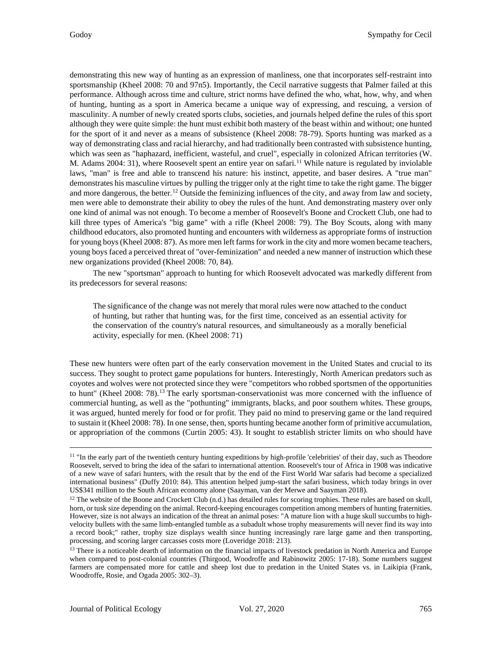demonstrating this new way of hunting as an expression of manliness, one that incorporates self-restraint into sportsmanship (Kheel 2008: 70 and 97n5). Importantly, the Cecil narrative suggests that Palmer failed at this performance. Although across time and culture, strict norms have defined the who, what, how, why, and when of hunting, hunting as a sport in America became a unique way of expressing, and rescuing, a version of masculinity. A number of newly created sports clubs, societies, and journals helped define the rules of this sport although they were quite simple: the hunt must exhibit both mastery of the beast within and without; one hunted for the sport of it and never as a means of subsistence (Kheel 2008: 78-79). Sports hunting was marked as a way of demonstrating class and racial hierarchy, and had traditionally been contrasted with subsistence hunting, which was seen as "haphazard, inefficient, wasteful, and cruel", especially in colonized African territories (W. M. Adams 2004: 31), where Roosevelt spent an entire year on safari.<sup>[11](#page-6-0)</sup> While nature is regulated by inviolable laws, "man" is free and able to transcend his nature: his instinct, appetite, and baser desires. A "true man" demonstrates his masculine virtues by pulling the trigger only at the right time to take the right game. The bigger and more dangerous, the better.<sup>[12](#page-6-1)</sup> Outside the feminizing influences of the city, and away from law and society, men were able to demonstrate their ability to obey the rules of the hunt. And demonstrating mastery over only one kind of animal was not enough. To become a member of Roosevelt's Boone and Crockett Club, one had to kill three types of America's "big game" with a rifle (Kheel 2008: 79). The Boy Scouts, along with many childhood educators, also promoted hunting and encounters with wilderness as appropriate forms of instruction for young boys (Kheel 2008: 87). As more men left farms for work in the city and more women became teachers, young boys faced a perceived threat of "over-feminization" and needed a new manner of instruction which these new organizations provided (Kheel 2008: 70, 84).

The new "sportsman" approach to hunting for which Roosevelt advocated was markedly different from its predecessors for several reasons:

The significance of the change was not merely that moral rules were now attached to the conduct of hunting, but rather that hunting was, for the first time, conceived as an essential activity for the conservation of the country's natural resources, and simultaneously as a morally beneficial activity, especially for men. (Kheel 2008: 71)

These new hunters were often part of the early conservation movement in the United States and crucial to its success. They sought to protect game populations for hunters. Interestingly, North American predators such as coyotes and wolves were not protected since they were "competitors who robbed sportsmen of the opportunities to hunt" (Kheel 2008: 78).<sup>[13](#page-6-2)</sup> The early sportsman-conservationist was more concerned with the influence of commercial hunting, as well as the "pothunting" immigrants, blacks, and poor southern whites. These groups, it was argued, hunted merely for food or for profit. They paid no mind to preserving game or the land required to sustain it (Kheel 2008: 78). In one sense, then, sports hunting became another form of primitive accumulation, or appropriation of the commons (Curtin 2005: 43). It sought to establish stricter limits on who should have

<span id="page-6-0"></span><sup>&</sup>lt;sup>11</sup> "In the early part of the twentieth century hunting expeditions by high-profile 'celebrities' of their day, such as Theodore Roosevelt, served to bring the idea of the safari to international attention. Roosevelt's tour of Africa in 1908 was indicative of a new wave of safari hunters, with the result that by the end of the First World War safaris had become a specialized international business" (Duffy 2010: 84). This attention helped jump-start the safari business, which today brings in over US\$341 million to the South African economy alone (Saayman, van der Merwe and Saayman 2018). 12 The website of the Boone and Crockett Club (n.d.) has detailed rules for scoring trophies. These rules are based on skull,

<span id="page-6-1"></span>horn, or tusk size depending on the animal. Record-keeping encourages competition among members of hunting fraternities. However, size is not always an indication of the threat an animal poses: "A mature lion with a huge skull succumbs to highvelocity bullets with the same limb-entangled tumble as a subadult whose trophy measurements will never find its way into a record book;" rather, trophy size displays wealth since hunting increasingly rare large game and then transporting, processing, and scoring larger carcasses costs more (Loveridge 2018: 213).

<span id="page-6-2"></span><sup>&</sup>lt;sup>13</sup> There is a noticeable dearth of information on the financial impacts of livestock predation in North America and Europe when compared to post-colonial countries (Thirgood, Woodroffe and Rabinowitz 2005: 17-18). Some numbers suggest farmers are compensated more for cattle and sheep lost due to predation in the United States vs. in Laikipia (Frank, Woodroffe, Rosie, and Ogada 2005: 302–3).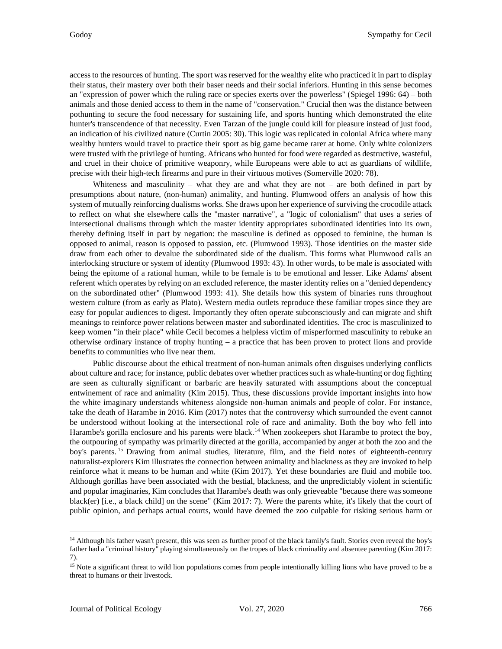access to the resources of hunting. The sport was reserved for the wealthy elite who practiced it in part to display their status, their mastery over both their baser needs and their social inferiors. Hunting in this sense becomes an "expression of power which the ruling race or species exerts over the powerless" (Spiegel 1996: 64) – both animals and those denied access to them in the name of "conservation." Crucial then was the distance between pothunting to secure the food necessary for sustaining life, and sports hunting which demonstrated the elite hunter's transcendence of that necessity. Even Tarzan of the jungle could kill for pleasure instead of just food, an indication of his civilized nature (Curtin 2005: 30). This logic was replicated in colonial Africa where many wealthy hunters would travel to practice their sport as big game became rarer at home. Only white colonizers were trusted with the privilege of hunting. Africans who hunted for food were regarded as destructive, wasteful, and cruel in their choice of primitive weaponry, while Europeans were able to act as guardians of wildlife, precise with their high-tech firearms and pure in their virtuous motives (Somerville 2020: 78).

Whiteness and masculinity – what they are and what they are not – are both defined in part by presumptions about nature, (non-human) animality, and hunting. Plumwood offers an analysis of how this system of mutually reinforcing dualisms works. She draws upon her experience of surviving the crocodile attack to reflect on what she elsewhere calls the "master narrative", a "logic of colonialism" that uses a series of intersectional dualisms through which the master identity appropriates subordinated identities into its own, thereby defining itself in part by negation: the masculine is defined as opposed to feminine, the human is opposed to animal, reason is opposed to passion, etc. (Plumwood 1993). Those identities on the master side draw from each other to devalue the subordinated side of the dualism. This forms what Plumwood calls an interlocking structure or system of identity (Plumwood 1993: 43). In other words, to be male is associated with being the epitome of a rational human, while to be female is to be emotional and lesser. Like Adams' absent referent which operates by relying on an excluded reference, the master identity relies on a "denied dependency on the subordinated other" (Plumwood 1993: 41). She details how this system of binaries runs throughout western culture (from as early as Plato). Western media outlets reproduce these familiar tropes since they are easy for popular audiences to digest. Importantly they often operate subconsciously and can migrate and shift meanings to reinforce power relations between master and subordinated identities. The croc is masculinized to keep women "in their place" while Cecil becomes a helpless victim of misperformed masculinity to rebuke an otherwise ordinary instance of trophy hunting – a practice that has been proven to protect lions and provide benefits to communities who live near them.

Public discourse about the ethical treatment of non-human animals often disguises underlying conflicts about culture and race; for instance, public debates over whether practices such as whale-hunting or dog fighting are seen as culturally significant or barbaric are heavily saturated with assumptions about the conceptual entwinement of race and animality (Kim 2015). Thus, these discussions provide important insights into how the white imaginary understands whiteness alongside non-human animals and people of color. For instance, take the death of Harambe in 2016. Kim (2017) notes that the controversy which surrounded the event cannot be understood without looking at the intersectional role of race and animality. Both the boy who fell into Harambe's gorilla enclosure and his parents were black.<sup>[14](#page-7-0)</sup> When zookeepers shot Harambe to protect the boy, the outpouring of sympathy was primarily directed at the gorilla, accompanied by anger at both the zoo and the boy's parents. [15](#page-7-1) Drawing from animal studies, literature, film, and the field notes of eighteenth-century naturalist-explorers Kim illustrates the connection between animality and blackness as they are invoked to help reinforce what it means to be human and white (Kim 2017). Yet these boundaries are fluid and mobile too. Although gorillas have been associated with the bestial, blackness, and the unpredictably violent in scientific and popular imaginaries, Kim concludes that Harambe's death was only grieveable "because there was someone black(er) [i.e., a black child] on the scene" (Kim 2017: 7). Were the parents white, it's likely that the court of public opinion, and perhaps actual courts, would have deemed the zoo culpable for risking serious harm or

<span id="page-7-0"></span><sup>14</sup> Although his father wasn't present, this was seen as further proof of the black family's fault. Stories even reveal the boy's father had a "criminal history" playing simultaneously on the tropes of black criminality and absentee parenting (Kim 2017: 7).

<span id="page-7-1"></span><sup>&</sup>lt;sup>15</sup> Note a significant threat to wild lion populations comes from people intentionally killing lions who have proved to be a threat to humans or their livestock.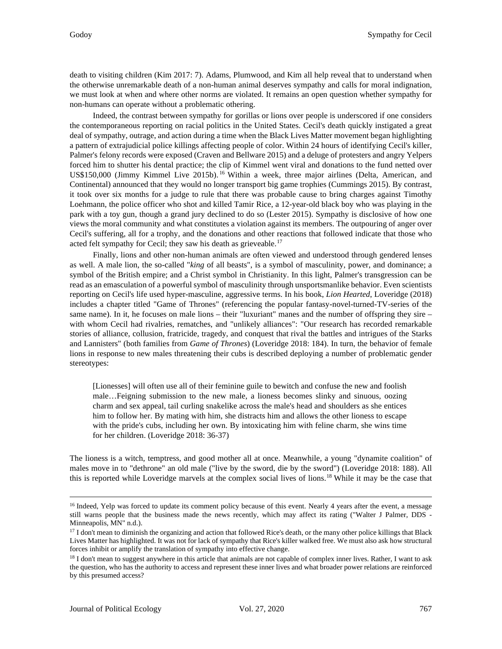death to visiting children (Kim 2017: 7). Adams, Plumwood, and Kim all help reveal that to understand when the otherwise unremarkable death of a non-human animal deserves sympathy and calls for moral indignation, we must look at when and where other norms are violated. It remains an open question whether sympathy for non-humans can operate without a problematic othering.

Indeed, the contrast between sympathy for gorillas or lions over people is underscored if one considers the contemporaneous reporting on racial politics in the United States. Cecil's death quickly instigated a great deal of sympathy, outrage, and action during a time when the Black Lives Matter movement began highlighting a pattern of extrajudicial police killings affecting people of color. Within 24 hours of identifying Cecil's killer, Palmer's felony records were exposed (Craven and Bellware 2015) and a deluge of protesters and angry Yelpers forced him to shutter his dental practice; the clip of Kimmel went viral and donations to the fund netted over US\$150,000 (Jimmy Kimmel Live 2015b). [16](#page-8-0) Within a week, three major airlines (Delta, American, and Continental) announced that they would no longer transport big game trophies (Cummings 2015). By contrast, it took over six months for a judge to rule that there was probable cause to bring charges against Timothy Loehmann, the police officer who shot and killed Tamir Rice, a 12-year-old black boy who was playing in the park with a toy gun, though a grand jury declined to do so (Lester 2015). Sympathy is disclosive of how one views the moral community and what constitutes a violation against its members. The outpouring of anger over Cecil's suffering, all for a trophy, and the donations and other reactions that followed indicate that those who acted felt sympathy for Cecil; they saw his death as grieveable.<sup>[17](#page-8-1)</sup>

Finally, lions and other non-human animals are often viewed and understood through gendered lenses as well. A male lion, the so-called "*king* of all beasts", is a symbol of masculinity, power, and dominance; a symbol of the British empire; and a Christ symbol in Christianity. In this light, Palmer's transgression can be read as an emasculation of a powerful symbol of masculinity through unsportsmanlike behavior. Even scientists reporting on Cecil's life used hyper-masculine, aggressive terms. In his book, *Lion Hearted*, Loveridge (2018) includes a chapter titled "Game of Thrones" (referencing the popular fantasy-novel-turned-TV-series of the same name). In it, he focuses on male lions – their "luxuriant" manes and the number of offspring they sire – with whom Cecil had rivalries, rematches, and "unlikely alliances": "Our research has recorded remarkable stories of alliance, collusion, fratricide, tragedy, and conquest that rival the battles and intrigues of the Starks and Lannisters" (both families from *Game of Thrones*) (Loveridge 2018: 184). In turn, the behavior of female lions in response to new males threatening their cubs is described deploying a number of problematic gender stereotypes:

[Lionesses] will often use all of their feminine guile to bewitch and confuse the new and foolish male…Feigning submission to the new male, a lioness becomes slinky and sinuous, oozing charm and sex appeal, tail curling snakelike across the male's head and shoulders as she entices him to follow her. By mating with him, she distracts him and allows the other lioness to escape with the pride's cubs, including her own. By intoxicating him with feline charm, she wins time for her children. (Loveridge 2018: 36-37)

The lioness is a witch, temptress, and good mother all at once. Meanwhile, a young "dynamite coalition" of males move in to "dethrone" an old male ("live by the sword, die by the sword") (Loveridge 2018: 188). All this is reported while Loveridge marvels at the complex social lives of lions.<sup>[18](#page-8-2)</sup> While it may be the case that

<span id="page-8-0"></span><sup>&</sup>lt;sup>16</sup> Indeed, Yelp was forced to update its comment policy because of this event. Nearly 4 years after the event, a message still warns people that the business made the news recently, which may affect its rating ("Walter J Palmer, DDS - Minneapolis, MN" n.d.).

<span id="page-8-1"></span><sup>&</sup>lt;sup>17</sup> I don't mean to diminish the organizing and action that followed Rice's death, or the many other police killings that Black Lives Matter has highlighted. It was not for lack of sympathy that Rice's killer walked free. We must also ask how structural forces inhibit or amplify the translation of sympathy into effective change.

<span id="page-8-2"></span><sup>&</sup>lt;sup>18</sup> I don't mean to suggest anywhere in this article that animals are not capable of complex inner lives. Rather, I want to ask the question, who has the authority to access and represent these inner lives and what broader power relations are reinforced by this presumed access?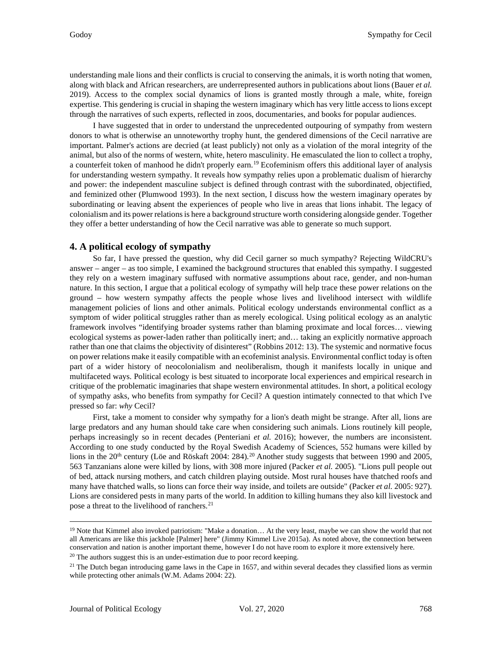understanding male lions and their conflicts is crucial to conserving the animals, it is worth noting that women, along with black and African researchers, are underrepresented authors in publications about lions (Bauer *et al.* 2019). Access to the complex social dynamics of lions is granted mostly through a male, white, foreign expertise. This gendering is crucial in shaping the western imaginary which has very little access to lions except through the narratives of such experts, reflected in zoos, documentaries, and books for popular audiences.

I have suggested that in order to understand the unprecedented outpouring of sympathy from western donors to what is otherwise an unnoteworthy trophy hunt, the gendered dimensions of the Cecil narrative are important. Palmer's actions are decried (at least publicly) not only as a violation of the moral integrity of the animal, but also of the norms of western, white, hetero masculinity. He emasculated the lion to collect a trophy, a counterfeit token of manhood he didn't properly earn.[19](#page-9-0) Ecofeminism offers this additional layer of analysis for understanding western sympathy. It reveals how sympathy relies upon a problematic dualism of hierarchy and power: the independent masculine subject is defined through contrast with the subordinated, objectified, and feminized other (Plumwood 1993). In the next section, I discuss how the western imaginary operates by subordinating or leaving absent the experiences of people who live in areas that lions inhabit. The legacy of colonialism and its power relations is here a background structure worth considering alongside gender. Together they offer a better understanding of how the Cecil narrative was able to generate so much support.

### **4. A political ecology of sympathy**

So far, I have pressed the question, why did Cecil garner so much sympathy? Rejecting WildCRU's answer – anger – as too simple, I examined the background structures that enabled this sympathy. I suggested they rely on a western imaginary suffused with normative assumptions about race, gender, and non-human nature. In this section, I argue that a political ecology of sympathy will help trace these power relations on the ground – how western sympathy affects the people whose lives and livelihood intersect with wildlife management policies of lions and other animals. Political ecology understands environmental conflict as a symptom of wider political struggles rather than as merely ecological. Using political ecology as an analytic framework involves "identifying broader systems rather than blaming proximate and local forces… viewing ecological systems as power-laden rather than politically inert; and… taking an explicitly normative approach rather than one that claims the objectivity of disinterest" (Robbins 2012: 13). The systemic and normative focus on power relations make it easily compatible with an ecofeminist analysis. Environmental conflict today is often part of a wider history of neocolonialism and neoliberalism, though it manifests locally in unique and multifaceted ways. Political ecology is best situated to incorporate local experiences and empirical research in critique of the problematic imaginaries that shape western environmental attitudes. In short, a political ecology of sympathy asks, who benefits from sympathy for Cecil? A question intimately connected to that which I've pressed so far: *why* Cecil?

First, take a moment to consider why sympathy for a lion's death might be strange. After all, lions are large predators and any human should take care when considering such animals. Lions routinely kill people, perhaps increasingly so in recent decades (Penteriani *et al.* 2016); however, the numbers are inconsistent. According to one study conducted by the Royal Swedish Academy of Sciences, 552 humans were killed by lions in the  $20<sup>th</sup>$  $20<sup>th</sup>$  century (Löe and Röskaft 2004: 284).<sup>20</sup> Another study suggests that between 1990 and 2005, 563 Tanzanians alone were killed by lions, with 308 more injured (Packer *et al.* 2005)*.* "Lions pull people out of bed, attack nursing mothers, and catch children playing outside. Most rural houses have thatched roofs and many have thatched walls, so lions can force their way inside, and toilets are outside" (Packer *et al.* 2005: 927). Lions are considered pests in many parts of the world. In addition to killing humans they also kill livestock and pose a threat to the livelihood of ranchers.<sup>[21](#page-9-2)</sup>

<span id="page-9-0"></span><sup>&</sup>lt;sup>19</sup> Note that Kimmel also invoked patriotism: "Make a donation... At the very least, maybe we can show the world that not all Americans are like this jackhole [Palmer] here" (Jimmy Kimmel Live 2015a). As noted above, the connection between conservation and nation is another important theme, however I do not have room to explore it more extensively here.

<span id="page-9-1"></span><sup>&</sup>lt;sup>20</sup> The authors suggest this is an under-estimation due to poor record keeping.

<span id="page-9-2"></span> $21$  The Dutch began introducing game laws in the Cape in 1657, and within several decades they classified lions as vermin while protecting other animals (W.M. Adams 2004: 22).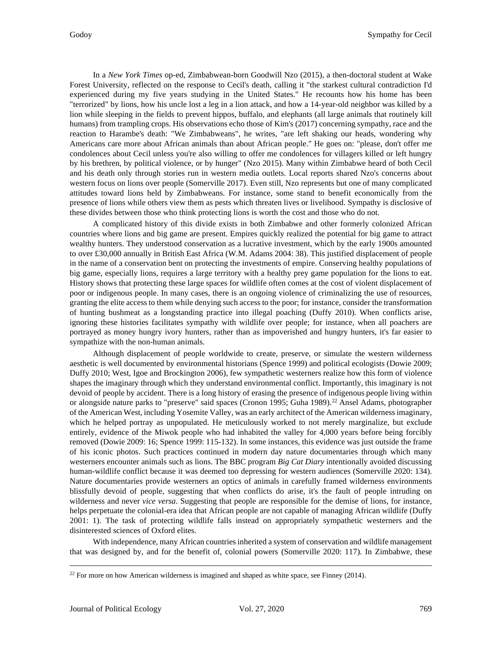In a *New York Times* op-ed, Zimbabwean-born Goodwill Nzo (2015), a then-doctoral student at Wake Forest University, reflected on the response to Cecil's death, calling it "the starkest cultural contradiction I'd experienced during my five years studying in the United States." He recounts how his home has been "terrorized" by lions, how his uncle lost a leg in a lion attack, and how a 14-year-old neighbor was killed by a lion while sleeping in the fields to prevent hippos, buffalo, and elephants (all large animals that routinely kill humans) from trampling crops. His observations echo those of Kim's (2017) concerning sympathy, race and the reaction to Harambe's death: "We Zimbabweans", he writes, "are left shaking our heads, wondering why Americans care more about African animals than about African people." He goes on: "please, don't offer me condolences about Cecil unless you're also willing to offer me condolences for villagers killed or left hungry by his brethren, by political violence, or by hunger" (Nzo 2015). Many within Zimbabwe heard of both Cecil and his death only through stories run in western media outlets. Local reports shared Nzo's concerns about western focus on lions over people (Somerville 2017). Even still, Nzo represents but one of many complicated attitudes toward lions held by Zimbabweans. For instance, some stand to benefit economically from the presence of lions while others view them as pests which threaten lives or livelihood. Sympathy is disclosive of these divides between those who think protecting lions is worth the cost and those who do not.

A complicated history of this divide exists in both Zimbabwe and other formerly colonized African countries where lions and big game are present. Empires quickly realized the potential for big game to attract wealthy hunters. They understood conservation as a lucrative investment, which by the early 1900s amounted to over £30,000 annually in British East Africa (W.M. Adams 2004: 38). This justified displacement of people in the name of a conservation bent on protecting the investments of empire. Conserving healthy populations of big game, especially lions, requires a large territory with a healthy prey game population for the lions to eat. History shows that protecting these large spaces for wildlife often comes at the cost of violent displacement of poor or indigenous people. In many cases, there is an ongoing violence of criminalizing the use of resources, granting the elite access to them while denying such access to the poor; for instance, consider the transformation of hunting bushmeat as a longstanding practice into illegal poaching (Duffy 2010). When conflicts arise, ignoring these histories facilitates sympathy with wildlife over people; for instance, when all poachers are portrayed as money hungry ivory hunters, rather than as impoverished and hungry hunters, it's far easier to sympathize with the non-human animals.

Although displacement of people worldwide to create, preserve, or simulate the western wilderness aesthetic is well documented by environmental historians (Spence 1999) and political ecologists (Dowie 2009; Duffy 2010; West, Igoe and Brockington 2006), few sympathetic westerners realize how this form of violence shapes the imaginary through which they understand environmental conflict. Importantly, this imaginary is not devoid of people by accident. There is a long history of erasing the presence of indigenous people living within or alongside nature parks to "preserve" said spaces (Cronon 1995; Guha 1989).<sup>[22](#page-10-0)</sup> Ansel Adams, photographer of the American West, including Yosemite Valley, was an early architect of the American wilderness imaginary, which he helped portray as unpopulated. He meticulously worked to not merely marginalize, but exclude entirely, evidence of the Miwok people who had inhabited the valley for 4,000 years before being forcibly removed (Dowie 2009: 16; Spence 1999: 115-132). In some instances, this evidence was just outside the frame of his iconic photos. Such practices continued in modern day nature documentaries through which many westerners encounter animals such as lions. The BBC program *Big Cat Diary* intentionally avoided discussing human-wildlife conflict because it was deemed too depressing for western audiences (Somerville 2020: 134). Nature documentaries provide westerners an optics of animals in carefully framed wilderness environments blissfully devoid of people, suggesting that when conflicts do arise, it's the fault of people intruding on wilderness and never *vice versa*. Suggesting that people are responsible for the demise of lions, for instance, helps perpetuate the colonial-era idea that African people are not capable of managing African wildlife (Duffy 2001: 1). The task of protecting wildlife falls instead on appropriately sympathetic westerners and the disinterested sciences of Oxford elites.

With independence, many African countries inherited a system of conservation and wildlife management that was designed by, and for the benefit of, colonial powers (Somerville 2020: 117). In Zimbabwe, these

<span id="page-10-0"></span> $22$  For more on how American wilderness is imagined and shaped as white space, see Finney (2014).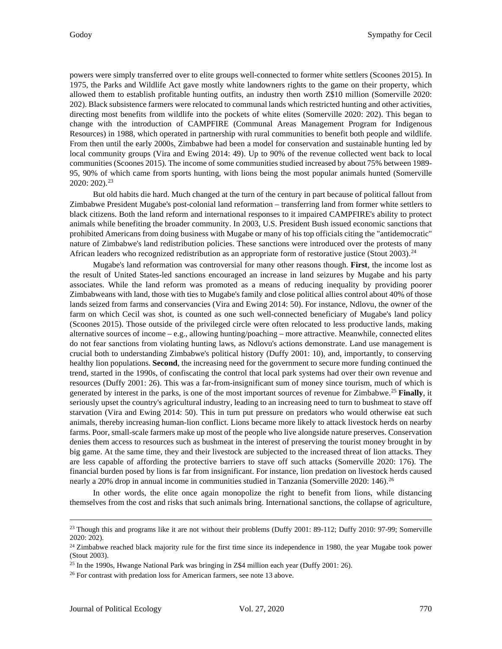powers were simply transferred over to elite groups well-connected to former white settlers (Scoones 2015). In 1975, the Parks and Wildlife Act gave mostly white landowners rights to the game on their property, which allowed them to establish profitable hunting outfits, an industry then worth Z\$10 million (Somerville 2020: 202). Black subsistence farmers were relocated to communal lands which restricted hunting and other activities, directing most benefits from wildlife into the pockets of white elites (Somerville 2020: 202). This began to change with the introduction of CAMPFIRE (Communal Areas Management Program for Indigenous Resources) in 1988, which operated in partnership with rural communities to benefit both people and wildlife. From then until the early 2000s, Zimbabwe had been a model for conservation and sustainable hunting led by local community groups (Vira and Ewing 2014: 49). Up to 90% of the revenue collected went back to local communities (Scoones 2015). The income of some communities studied increased by about 75% between 1989- 95, 90% of which came from sports hunting, with lions being the most popular animals hunted (Somerville 2020: 202). [23](#page-11-0)

But old habits die hard. Much changed at the turn of the century in part because of political fallout from Zimbabwe President Mugabe's post-colonial land reformation – transferring land from former white settlers to black citizens. Both the land reform and international responses to it impaired CAMPFIRE's ability to protect animals while benefiting the broader community. In 2003, U.S. President Bush issued economic sanctions that prohibited Americans from doing business with Mugabe or many of his top officials citing the "antidemocratic" nature of Zimbabwe's land redistribution policies. These sanctions were introduced over the protests of many African leaders who recognized redistribution as an appropriate form of restorative justice (Stout 2003).<sup>24</sup>

Mugabe's land reformation was controversial for many other reasons though. **First**, the income lost as the result of United States-led sanctions encouraged an increase in land seizures by Mugabe and his party associates. While the land reform was promoted as a means of reducing inequality by providing poorer Zimbabweans with land, those with ties to Mugabe's family and close political allies control about 40% of those lands seized from farms and conservancies (Vira and Ewing 2014: 50). For instance, Ndlovu, the owner of the farm on which Cecil was shot, is counted as one such well-connected beneficiary of Mugabe's land policy (Scoones 2015). Those outside of the privileged circle were often relocated to less productive lands, making alternative sources of income – e.g., allowing hunting/poaching – more attractive. Meanwhile, connected elites do not fear sanctions from violating hunting laws, as Ndlovu's actions demonstrate. Land use management is crucial both to understanding Zimbabwe's political history (Duffy 2001: 10), and, importantly, to conserving healthy lion populations. **Second**, the increasing need for the government to secure more funding continued the trend, started in the 1990s, of confiscating the control that local park systems had over their own revenue and resources (Duffy 2001: 26). This was a far-from-insignificant sum of money since tourism, much of which is generated by interest in the parks, is one of the most important sources of revenue for Zimbabwe.[25](#page-11-2) **Finally**, it seriously upset the country's agricultural industry, leading to an increasing need to turn to bushmeat to stave off starvation (Vira and Ewing 2014: 50). This in turn put pressure on predators who would otherwise eat such animals, thereby increasing human-lion conflict. Lions became more likely to attack livestock herds on nearby farms. Poor, small-scale farmers make up most of the people who live alongside nature preserves. Conservation denies them access to resources such as bushmeat in the interest of preserving the tourist money brought in by big game. At the same time, they and their livestock are subjected to the increased threat of lion attacks. They are less capable of affording the protective barriers to stave off such attacks (Somerville 2020: 176). The financial burden posed by lions is far from insignificant. For instance, lion predation on livestock herds caused nearly a 20% drop in annual income in communities studied in Tanzania (Somerville 2020: 146).<sup>[26](#page-11-3)</sup>

In other words, the elite once again monopolize the right to benefit from lions, while distancing themselves from the cost and risks that such animals bring. International sanctions, the collapse of agriculture,

<span id="page-11-0"></span><sup>&</sup>lt;sup>23</sup> Though this and programs like it are not without their problems (Duffy 2001: 89-112; Duffy 2010: 97-99; Somerville 2020: 202).

<span id="page-11-1"></span> $24$  Zimbabwe reached black majority rule for the first time since its independence in 1980, the year Mugabe took power (Stout 2003).

<span id="page-11-2"></span><sup>&</sup>lt;sup>25</sup> In the 1990s, Hwange National Park was bringing in Z\$4 million each year (Duffy 2001: 26).

<span id="page-11-3"></span><sup>&</sup>lt;sup>26</sup> For contrast with predation loss for American farmers, see note 13 above.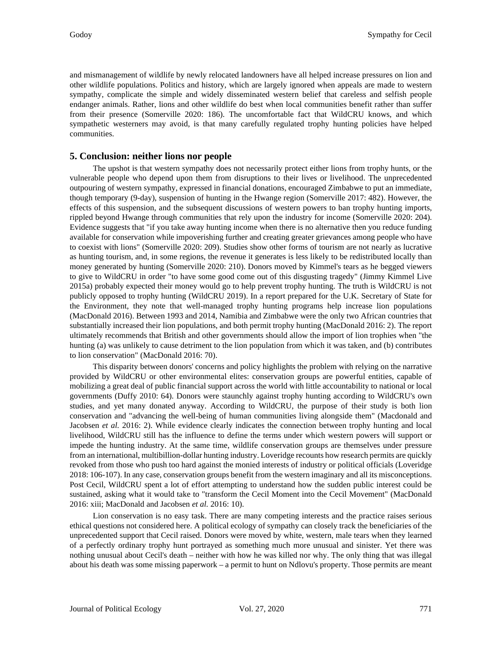and mismanagement of wildlife by newly relocated landowners have all helped increase pressures on lion and other wildlife populations. Politics and history, which are largely ignored when appeals are made to western sympathy, complicate the simple and widely disseminated western belief that careless and selfish people endanger animals. Rather, lions and other wildlife do best when local communities benefit rather than suffer from their presence (Somerville 2020: 186). The uncomfortable fact that WildCRU knows, and which sympathetic westerners may avoid, is that many carefully regulated trophy hunting policies have helped communities.

#### **5. Conclusion: neither lions nor people**

The upshot is that western sympathy does not necessarily protect either lions from trophy hunts, or the vulnerable people who depend upon them from disruptions to their lives or livelihood. The unprecedented outpouring of western sympathy, expressed in financial donations, encouraged Zimbabwe to put an immediate, though temporary (9-day), suspension of hunting in the Hwange region (Somerville 2017: 482). However, the effects of this suspension, and the subsequent discussions of western powers to ban trophy hunting imports, rippled beyond Hwange through communities that rely upon the industry for income (Somerville 2020: 204). Evidence suggests that "if you take away hunting income when there is no alternative then you reduce funding available for conservation while impoverishing further and creating greater grievances among people who have to coexist with lions" (Somerville 2020: 209). Studies show other forms of tourism are not nearly as lucrative as hunting tourism, and, in some regions, the revenue it generates is less likely to be redistributed locally than money generated by hunting (Somerville 2020: 210). Donors moved by Kimmel's tears as he begged viewers to give to WildCRU in order "to have some good come out of this disgusting tragedy" (Jimmy Kimmel Live 2015a) probably expected their money would go to help prevent trophy hunting. The truth is WildCRU is not publicly opposed to trophy hunting (WildCRU 2019). In a report prepared for the U.K. Secretary of State for the Environment, they note that well-managed trophy hunting programs help increase lion populations (MacDonald 2016). Between 1993 and 2014, Namibia and Zimbabwe were the only two African countries that substantially increased their lion populations, and both permit trophy hunting (MacDonald 2016: 2). The report ultimately recommends that British and other governments should allow the import of lion trophies when "the hunting (a) was unlikely to cause detriment to the lion population from which it was taken, and (b) contributes to lion conservation" (MacDonald 2016: 70).

This disparity between donors' concerns and policy highlights the problem with relying on the narrative provided by WildCRU or other environmental elites: conservation groups are powerful entities, capable of mobilizing a great deal of public financial support across the world with little accountability to national or local governments (Duffy 2010: 64). Donors were staunchly against trophy hunting according to WildCRU's own studies, and yet many donated anyway. According to WildCRU, the purpose of their study is both lion conservation and "advancing the well-being of human communities living alongside them" (Macdonald and Jacobsen *et al.* 2016: 2). While evidence clearly indicates the connection between trophy hunting and local livelihood, WildCRU still has the influence to define the terms under which western powers will support or impede the hunting industry. At the same time, wildlife conservation groups are themselves under pressure from an international, multibillion-dollar hunting industry. Loveridge recounts how research permits are quickly revoked from those who push too hard against the monied interests of industry or political officials (Loveridge 2018: 106-107). In any case, conservation groups benefit from the western imaginary and all its misconceptions. Post Cecil, WildCRU spent a lot of effort attempting to understand how the sudden public interest could be sustained, asking what it would take to "transform the Cecil Moment into the Cecil Movement" (MacDonald 2016: xiii; MacDonald and Jacobsen *et al.* 2016: 10).

Lion conservation is no easy task. There are many competing interests and the practice raises serious ethical questions not considered here. A political ecology of sympathy can closely track the beneficiaries of the unprecedented support that Cecil raised. Donors were moved by white, western, male tears when they learned of a perfectly ordinary trophy hunt portrayed as something much more unusual and sinister. Yet there was nothing unusual about Cecil's death – neither with how he was killed nor why. The only thing that was illegal about his death was some missing paperwork – a permit to hunt on Ndlovu's property. Those permits are meant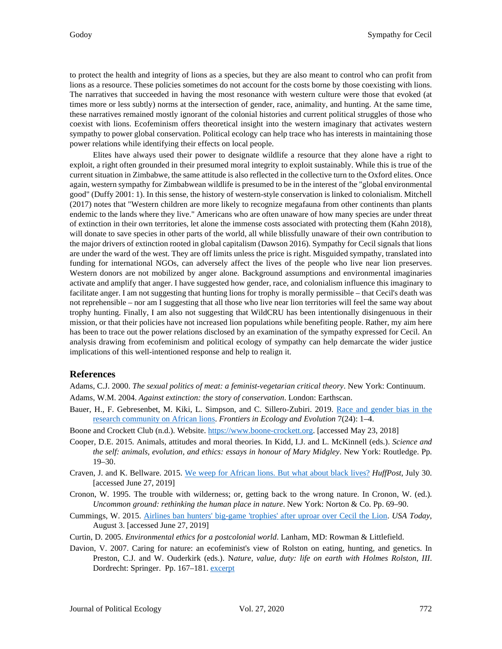to protect the health and integrity of lions as a species, but they are also meant to control who can profit from lions as a resource. These policies sometimes do not account for the costs borne by those coexisting with lions. The narratives that succeeded in having the most resonance with western culture were those that evoked (at times more or less subtly) norms at the intersection of gender, race, animality, and hunting. At the same time, these narratives remained mostly ignorant of the colonial histories and current political struggles of those who coexist with lions. Ecofeminism offers theoretical insight into the western imaginary that activates western sympathy to power global conservation. Political ecology can help trace who has interests in maintaining those power relations while identifying their effects on local people.

Elites have always used their power to designate wildlife a resource that they alone have a right to exploit, a right often grounded in their presumed moral integrity to exploit sustainably. While this is true of the current situation in Zimbabwe, the same attitude is also reflected in the collective turn to the Oxford elites. Once again, western sympathy for Zimbabwean wildlife is presumed to be in the interest of the "global environmental good" (Duffy 2001: 1). In this sense, the history of western-style conservation is linked to colonialism. Mitchell (2017) notes that "Western children are more likely to recognize megafauna from other continents than plants endemic to the lands where they live." Americans who are often unaware of how many species are under threat of extinction in their own territories, let alone the immense costs associated with protecting them (Kahn 2018), will donate to save species in other parts of the world, all while blissfully unaware of their own contribution to the major drivers of extinction rooted in global capitalism (Dawson 2016). Sympathy for Cecil signals that lions are under the ward of the west. They are off limits unless the price is right. Misguided sympathy, translated into funding for international NGOs, can adversely affect the lives of the people who live near lion preserves. Western donors are not mobilized by anger alone. Background assumptions and environmental imaginaries activate and amplify that anger. I have suggested how gender, race, and colonialism influence this imaginary to facilitate anger. I am not suggesting that hunting lions for trophy is morally permissible – that Cecil's death was not reprehensible – nor am I suggesting that all those who live near lion territories will feel the same way about trophy hunting. Finally, I am also not suggesting that WildCRU has been intentionally disingenuous in their mission, or that their policies have not increased lion populations while benefiting people. Rather, my aim here has been to trace out the power relations disclosed by an examination of the sympathy expressed for Cecil. An analysis drawing from ecofeminism and political ecology of sympathy can help demarcate the wider justice implications of this well-intentioned response and help to realign it.

#### **References**

Adams, C.J. 2000. *The sexual politics of meat: a feminist-vegetarian critical theory*. New York: Continuum.

- Adams, W.M. 2004. *Against extinction: the story of conservation*. London: Earthscan.
- Bauer, H., F. Gebresenbet, M. Kiki, L. Simpson, and C. Sillero-Zubiri. 2019. [Race and gender bias in the](https://doi.org/10.3389/fevo.2019.00024)  [research community on African lions.](https://doi.org/10.3389/fevo.2019.00024) *Frontiers in Ecology and Evolution* 7(24): 1–4.
- Boone and Crockett Club (n.d.). Website. [https://www.boone-crockett.org.](https://www.boone-crockett.org/) [accessed May 23, 2018]
- Cooper, D.E. 2015. Animals, attitudes and moral theories. In Kidd, I.J. and L. McKinnell (eds.). *Science and the self: animals, evolution, and ethics: essays in honour of Mary Midgley*. New York: Routledge. Pp. 19–30.
- Craven, J. and K. Bellware. 2015. [We weep for African lions. But what about black lives?](https://www.huffpost.com/entry/cecil-black-lives_n_55b9482ce4b095423d0dc4d5) *HuffPost*, July 30. [accessed June 27, 2019]
- Cronon, W. 1995. The trouble with wilderness; or, getting back to the wrong nature. In Cronon, W. (ed.). *Uncommon ground: rethinking the human place in nature*. New York: Norton & Co. Pp. 69–90.
- Cummings, W. 2015. Airlines ban hunters' big-game 'trophies' [after uproar over Cecil the Lion.](https://www.usatoday.com/story/travel/flights/todayinthesky/2015/08/03/american-airlines-animal-trophy-ban/31090331/) *USA Today*, August 3. [accessed June 27, 2019]
- Curtin, D. 2005. *Environmental ethics for a postcolonial world*. Lanham, MD: Rowman & Littlefield.
- Davion, V. 2007. Caring for nature: an ecofeminist's view of Rolston on eating, hunting, and genetics. In Preston, C.J. and W. Ouderkirk (eds.). N*ature, value, duty: life on earth with Holmes Rolston, III*. Dordrecht: Springer. Pp. 167–181[. excerpt](https://doi.org/10.1007/1-4020-4878-5_10)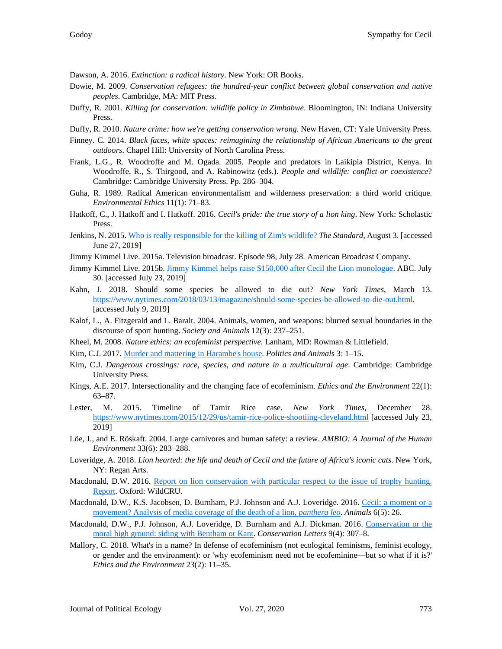Dawson, A. 2016. *Extinction: a radical history*. New York: OR Books.

- Dowie, M. 2009. *Conservation refugees: the hundred-year conflict between global conservation and native peoples*. Cambridge, MA: MIT Press.
- Duffy, R. 2001. *Killing for conservation: wildlife policy in Zimbabwe*. Bloomington, IN: Indiana University Press.
- Duffy, R. 2010. *Nature crime: how we're getting conservation wrong*. New Haven, CT: Yale University Press.
- Finney. C. 2014. *Black faces, white spaces: reimagining the relationship of African Americans to the great outdoors*. Chapel Hill: University of North Carolina Press.
- Frank, L.G., R. Woodroffe and M. Ogada. 2005. People and predators in Laikipia District, Kenya. In Woodroffe, R., S. Thirgood, and A. Rabinowitz (eds.). *People and wildlife: conflict or coexistence*? Cambridge: Cambridge University Press. Pp. 286–304.
- Guha, R. 1989. Radical American environmentalism and wilderness preservation: a third world critique. *Environmental Ethics* 11(1): 71–83.
- Hatkoff, C., J. Hatkoff and I. Hatkoff. 2016. *Cecil's pride: the true story of a lion king*. New York: Scholastic Press.
- Jenkins, N. 2015[. Who is really responsible for the killing of Zim's wildlife?](https://www.thestandard.co.zw/2015/08/03/who-is-really-responsible-for-the-killing-of-zims-wildlife/) *The Standard*, August 3. [accessed June 27, 2019]
- Jimmy Kimmel Live. 2015a. Television broadcast. Episode 98, July 28. American Broadcast Company.
- Jimmy Kimmel Live. 2015b[. Jimmy Kimmel helps raise \\$150,000 after Cecil the Lion monologue.](https://abc.go.com/shows/jimmy-kimmel-live/news/editors-picks/jimmy-gets-choked-up-about-cecil-the-lion-20150729) ABC. July 30. [accessed July 23, 2019]
- Kahn, J. 2018. Should some species be allowed to die out? *New York Times*, March 13. [https://www.nytimes.com/2018/03/13/magazine/should-some-species-be-allowed-to-die-out.html.](https://www.nytimes.com/2018/03/13/magazine/should-some-species-be-allowed-to-die-out.html) [accessed July 9, 2019]
- Kalof, L., A. Fitzgerald and L. Baralt. 2004. Animals, women, and weapons: blurred sexual boundaries in the discourse of sport hunting. *Society and Animals* 12(3): 237–251.
- Kheel, M. 2008. *Nature ethics: an ecofeminist perspective*. Lanham, MD: Rowman & Littlefield.
- Kim, C.J. 2017. [Murder and mattering in Harambe's house.](https://journals.lub.lu.se/pa/article/view/16274) *Politics and Animals* 3: 1–15.
- Kim, C.J. *Dangerous crossings: race, species, and nature in a multicultural age*. Cambridge: Cambridge University Press.
- Kings, A.E. 2017. Intersectionality and the changing face of ecofeminism. *Ethics and the Environment* 22(1): 63–87.
- Lester, M. 2015. Timeline of Tamir Rice case. *New York Times*, December 28. <https://www.nytimes.com/2015/12/29/us/tamir-rice-police-shootiing-cleveland.html> [accessed July 23, 2019]
- Löe, J., and E. Röskaft. 2004. Large carnivores and human safety: a review. *AMBIO: A Journal of the Human Environment* 33(6): 283–288.
- Loveridge, A. 2018. *Lion hearted: the life and death of Cecil and the future of Africa's iconic cats*. New York, NY: Regan Arts.
- Macdonald, D.W. 2016. Report on lion conservation with particular respect to the issue of trophy hunting. [Report.](https://www.wildcru.org/wp-content/uploads/2016/12/Report_on_lion_conservation.pdf) Oxford: WildCRU.
- Macdonald, D.W., K.S. Jacobsen, D. Burnham, P.J. Johnson and A.J. Loveridge. 2016. Cecil: a [moment or a](https://doi.org/10.3390/ani6050026)  [movement? Analysis of media coverage of the death of a lion,](https://doi.org/10.3390/ani6050026) *panthera leo*. *Animals* 6(5): 26.
- Macdonald, D.W., P.J. Johnson, A.J. Loveridge, D. Burnham and A.J. Dickman. 2016. [Conservation or the](https://doi.org/10.1111/conl.12254)  [moral high ground: siding with Bentham or Kant.](https://doi.org/10.1111/conl.12254) *Conservation Letters* 9(4): 307–8.
- Mallory, C. 2018. What's in a name? In defense of ecofeminism (not ecological feminisms, feminist ecology, or gender and the environment): or 'why ecofeminism need not be ecofeminine—but so what if it is?' *Ethics and the Environment* 23(2): 11–35.